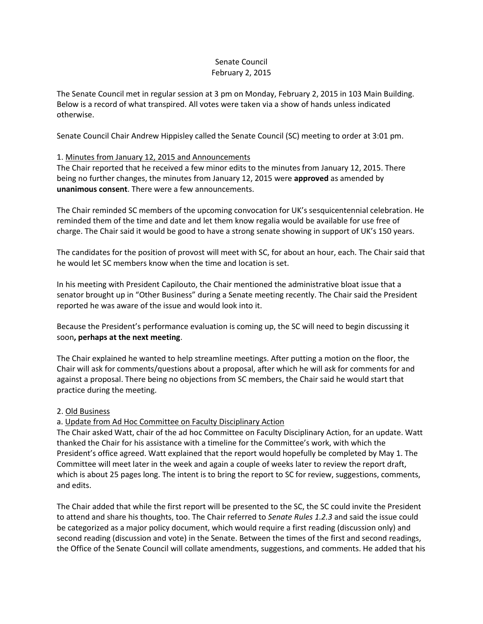#### Senate Council February 2, 2015

The Senate Council met in regular session at 3 pm on Monday, February 2, 2015 in 103 Main Building. Below is a record of what transpired. All votes were taken via a show of hands unless indicated otherwise.

Senate Council Chair Andrew Hippisley called the Senate Council (SC) meeting to order at 3:01 pm.

### 1. Minutes from January 12, 2015 and Announcements

The Chair reported that he received a few minor edits to the minutes from January 12, 2015. There being no further changes, the minutes from January 12, 2015 were **approved** as amended by **unanimous consent**. There were a few announcements.

The Chair reminded SC members of the upcoming convocation for UK's sesquicentennial celebration. He reminded them of the time and date and let them know regalia would be available for use free of charge. The Chair said it would be good to have a strong senate showing in support of UK's 150 years.

The candidates for the position of provost will meet with SC, for about an hour, each. The Chair said that he would let SC members know when the time and location is set.

In his meeting with President Capilouto, the Chair mentioned the administrative bloat issue that a senator brought up in "Other Business" during a Senate meeting recently. The Chair said the President reported he was aware of the issue and would look into it.

Because the President's performance evaluation is coming up, the SC will need to begin discussing it soon**, perhaps at the next meeting**.

The Chair explained he wanted to help streamline meetings. After putting a motion on the floor, the Chair will ask for comments/questions about a proposal, after which he will ask for comments for and against a proposal. There being no objections from SC members, the Chair said he would start that practice during the meeting.

# 2. Old Business

# a. Update from Ad Hoc Committee on Faculty Disciplinary Action

The Chair asked Watt, chair of the ad hoc Committee on Faculty Disciplinary Action, for an update. Watt thanked the Chair for his assistance with a timeline for the Committee's work, with which the President's office agreed. Watt explained that the report would hopefully be completed by May 1. The Committee will meet later in the week and again a couple of weeks later to review the report draft, which is about 25 pages long. The intent is to bring the report to SC for review, suggestions, comments, and edits.

The Chair added that while the first report will be presented to the SC, the SC could invite the President to attend and share his thoughts, too. The Chair referred to *Senate Rules 1.2.3* and said the issue could be categorized as a major policy document, which would require a first reading (discussion only) and second reading (discussion and vote) in the Senate. Between the times of the first and second readings, the Office of the Senate Council will collate amendments, suggestions, and comments. He added that his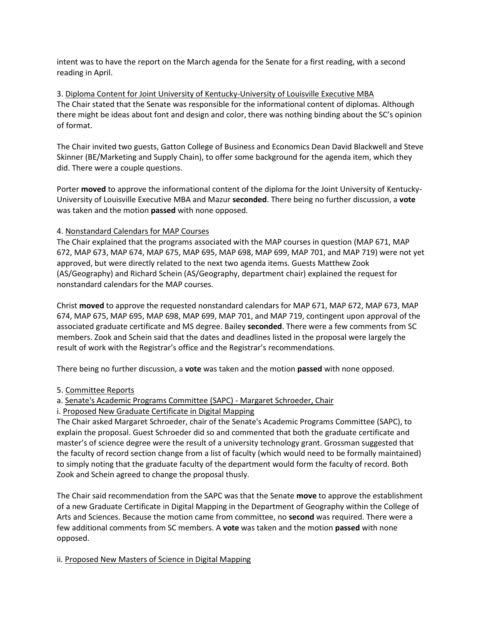intent was to have the report on the March agenda for the Senate for a first reading, with a second reading in April.

3. Diploma Content for Joint University of Kentucky-University of Louisville Executive MBA The Chair stated that the Senate was responsible for the informational content of diplomas. Although there might be ideas about font and design and color, there was nothing binding about the SC's opinion of format.

The Chair invited two guests, Gatton College of Business and Economics Dean David Blackwell and Steve Skinner (BE/Marketing and Supply Chain), to offer some background for the agenda item, which they did. There were a couple questions.

Porter **moved** to approve the informational content of the diploma for the Joint University of Kentucky-University of Louisville Executive MBA and Mazur **seconded**. There being no further discussion, a **vote** was taken and the motion **passed** with none opposed.

### 4. Nonstandard Calendars for MAP Courses

The Chair explained that the programs associated with the MAP courses in question (MAP 671, MAP 672, MAP 673, MAP 674, MAP 675, MAP 695, MAP 698, MAP 699, MAP 701, and MAP 719) were not yet approved, but were directly related to the next two agenda items. Guests Matthew Zook (AS/Geography) and Richard Schein (AS/Geography, department chair) explained the request for nonstandard calendars for the MAP courses.

Christ **moved** to approve the requested nonstandard calendars for MAP 671, MAP 672, MAP 673, MAP 674, MAP 675, MAP 695, MAP 698, MAP 699, MAP 701, and MAP 719, contingent upon approval of the associated graduate certificate and MS degree. Bailey **seconded**. There were a few comments from SC members. Zook and Schein said that the dates and deadlines listed in the proposal were largely the result of work with the Registrar's office and the Registrar's recommendations.

There being no further discussion, a **vote** was taken and the motion **passed** with none opposed.

#### 5. Committee Reports

# a. Senate's Academic Programs Committee (SAPC) - Margaret Schroeder, Chair

# i. Proposed New Graduate Certificate in Digital Mapping

The Chair asked Margaret Schroeder, chair of the Senate's Academic Programs Committee (SAPC), to explain the proposal. Guest Schroeder did so and commented that both the graduate certificate and master's of science degree were the result of a university technology grant. Grossman suggested that the faculty of record section change from a list of faculty (which would need to be formally maintained) to simply noting that the graduate faculty of the department would form the faculty of record. Both Zook and Schein agreed to change the proposal thusly.

The Chair said recommendation from the SAPC was that the Senate **move** to approve the establishment of a new Graduate Certificate in Digital Mapping in the Department of Geography within the College of Arts and Sciences. Because the motion came from committee, no **second** was required. There were a few additional comments from SC members. A **vote** was taken and the motion **passed** with none opposed.

ii. Proposed New Masters of Science in Digital Mapping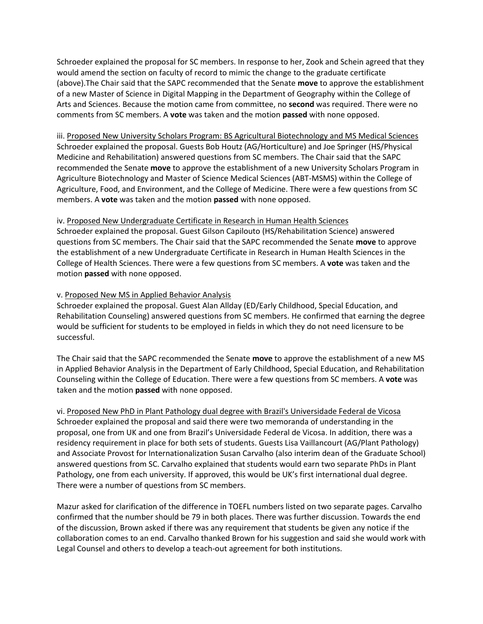Schroeder explained the proposal for SC members. In response to her, Zook and Schein agreed that they would amend the section on faculty of record to mimic the change to the graduate certificate (above).The Chair said that the SAPC recommended that the Senate **move** to approve the establishment of a new Master of Science in Digital Mapping in the Department of Geography within the College of Arts and Sciences. Because the motion came from committee, no **second** was required. There were no comments from SC members. A **vote** was taken and the motion **passed** with none opposed.

iii. Proposed New University Scholars Program: BS Agricultural Biotechnology and MS Medical Sciences Schroeder explained the proposal. Guests Bob Houtz (AG/Horticulture) and Joe Springer (HS/Physical Medicine and Rehabilitation) answered questions from SC members. The Chair said that the SAPC recommended the Senate **move** to approve the establishment of a new University Scholars Program in Agriculture Biotechnology and Master of Science Medical Sciences (ABT-MSMS) within the College of Agriculture, Food, and Environment, and the College of Medicine. There were a few questions from SC members. A **vote** was taken and the motion **passed** with none opposed.

### iv. Proposed New Undergraduate Certificate in Research in Human Health Sciences

Schroeder explained the proposal. Guest Gilson Capilouto (HS/Rehabilitation Science) answered questions from SC members. The Chair said that the SAPC recommended the Senate **move** to approve the establishment of a new Undergraduate Certificate in Research in Human Health Sciences in the College of Health Sciences. There were a few questions from SC members. A **vote** was taken and the motion **passed** with none opposed.

### v. Proposed New MS in Applied Behavior Analysis

Schroeder explained the proposal. Guest Alan Allday (ED/Early Childhood, Special Education, and Rehabilitation Counseling) answered questions from SC members. He confirmed that earning the degree would be sufficient for students to be employed in fields in which they do not need licensure to be successful.

The Chair said that the SAPC recommended the Senate **move** to approve the establishment of a new MS in Applied Behavior Analysis in the Department of Early Childhood, Special Education, and Rehabilitation Counseling within the College of Education. There were a few questions from SC members. A **vote** was taken and the motion **passed** with none opposed.

vi. Proposed New PhD in Plant Pathology dual degree with Brazil's Universidade Federal de Vicosa Schroeder explained the proposal and said there were two memoranda of understanding in the proposal, one from UK and one from Brazil's Universidade Federal de Vicosa. In addition, there was a residency requirement in place for both sets of students. Guests Lisa Vaillancourt (AG/Plant Pathology) and Associate Provost for Internationalization Susan Carvalho (also interim dean of the Graduate School) answered questions from SC. Carvalho explained that students would earn two separate PhDs in Plant Pathology, one from each university. If approved, this would be UK's first international dual degree. There were a number of questions from SC members.

Mazur asked for clarification of the difference in TOEFL numbers listed on two separate pages. Carvalho confirmed that the number should be 79 in both places. There was further discussion. Towards the end of the discussion, Brown asked if there was any requirement that students be given any notice if the collaboration comes to an end. Carvalho thanked Brown for his suggestion and said she would work with Legal Counsel and others to develop a teach-out agreement for both institutions.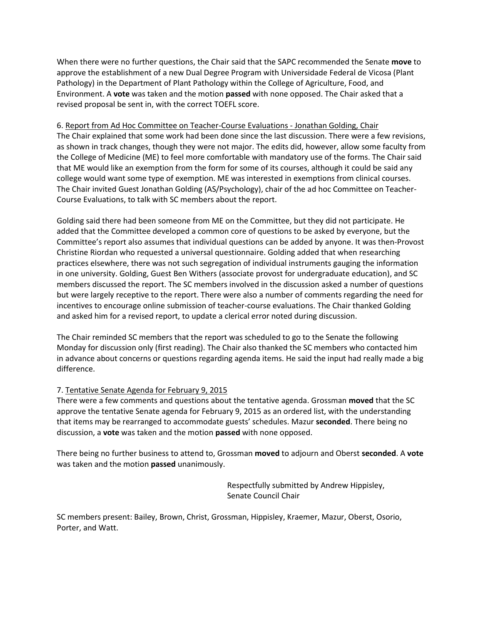When there were no further questions, the Chair said that the SAPC recommended the Senate **move** to approve the establishment of a new Dual Degree Program with Universidade Federal de Vicosa (Plant Pathology) in the Department of Plant Pathology within the College of Agriculture, Food, and Environment. A **vote** was taken and the motion **passed** with none opposed. The Chair asked that a revised proposal be sent in, with the correct TOEFL score.

6. Report from Ad Hoc Committee on Teacher-Course Evaluations - Jonathan Golding, Chair The Chair explained that some work had been done since the last discussion. There were a few revisions, as shown in track changes, though they were not major. The edits did, however, allow some faculty from the College of Medicine (ME) to feel more comfortable with mandatory use of the forms. The Chair said that ME would like an exemption from the form for some of its courses, although it could be said any college would want some type of exemption. ME was interested in exemptions from clinical courses. The Chair invited Guest Jonathan Golding (AS/Psychology), chair of the ad hoc Committee on Teacher-Course Evaluations, to talk with SC members about the report.

Golding said there had been someone from ME on the Committee, but they did not participate. He added that the Committee developed a common core of questions to be asked by everyone, but the Committee's report also assumes that individual questions can be added by anyone. It was then-Provost Christine Riordan who requested a universal questionnaire. Golding added that when researching practices elsewhere, there was not such segregation of individual instruments gauging the information in one university. Golding, Guest Ben Withers (associate provost for undergraduate education), and SC members discussed the report. The SC members involved in the discussion asked a number of questions but were largely receptive to the report. There were also a number of comments regarding the need for incentives to encourage online submission of teacher-course evaluations. The Chair thanked Golding and asked him for a revised report, to update a clerical error noted during discussion.

The Chair reminded SC members that the report was scheduled to go to the Senate the following Monday for discussion only (first reading). The Chair also thanked the SC members who contacted him in advance about concerns or questions regarding agenda items. He said the input had really made a big difference.

#### 7. Tentative Senate Agenda for February 9, 2015

There were a few comments and questions about the tentative agenda. Grossman **moved** that the SC approve the tentative Senate agenda for February 9, 2015 as an ordered list, with the understanding that items may be rearranged to accommodate guests' schedules. Mazur **seconded**. There being no discussion, a **vote** was taken and the motion **passed** with none opposed.

There being no further business to attend to, Grossman **moved** to adjourn and Oberst **seconded**. A **vote** was taken and the motion **passed** unanimously.

> Respectfully submitted by Andrew Hippisley, Senate Council Chair

SC members present: Bailey, Brown, Christ, Grossman, Hippisley, Kraemer, Mazur, Oberst, Osorio, Porter, and Watt.